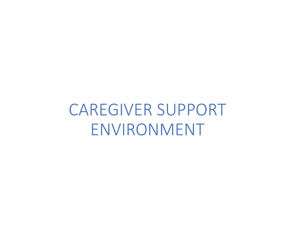CAREGIVER SUPPORT ENVIRONMENT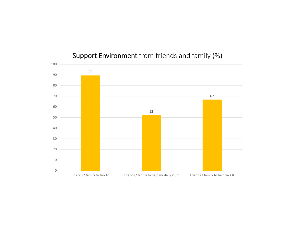

# Support Environment from friends and family (%)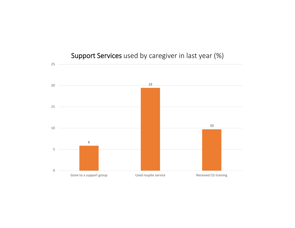

# Support Services used by caregiver in last year (%)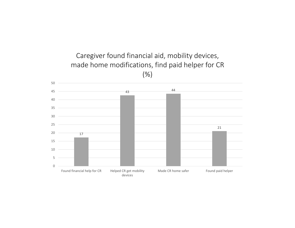

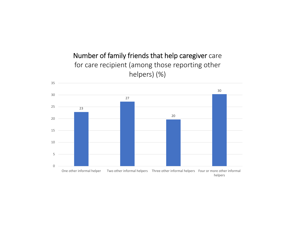# Number of family friends that help caregiver care for care recipient (among those reporting other helpers) (%)

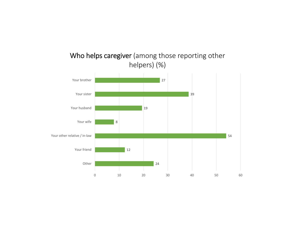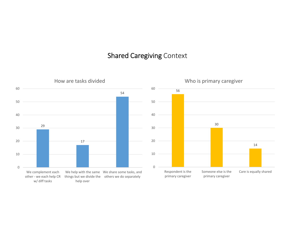#### Shared Caregiving Context